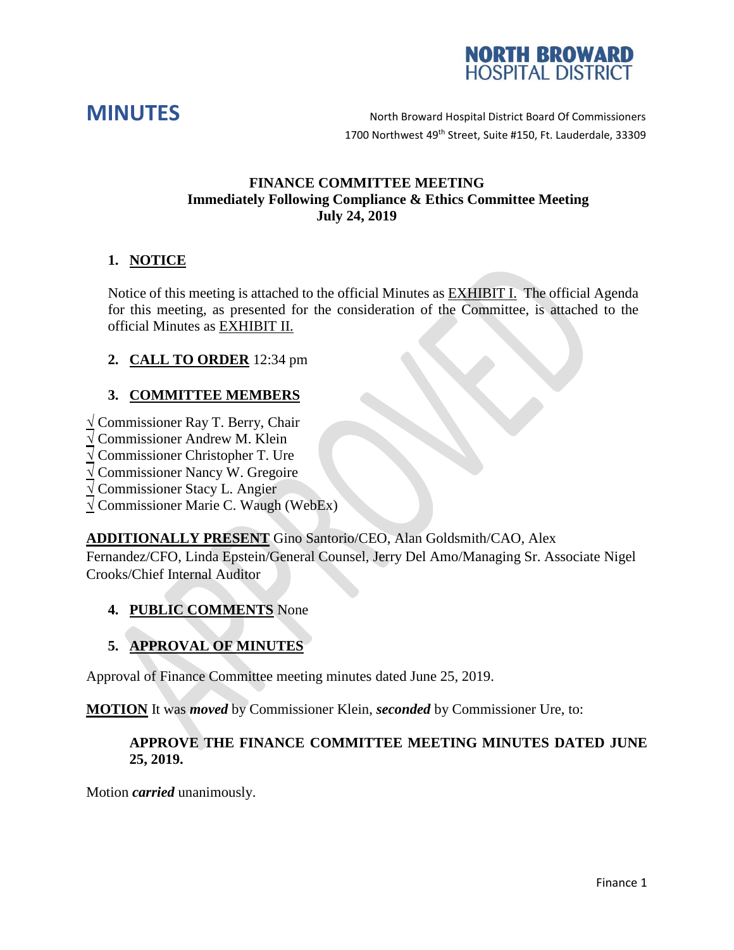



**MINUTES** North Broward Hospital District Board Of Commissioners 1700 Northwest 49<sup>th</sup> Street, Suite #150, Ft. Lauderdale, 33309

### **FINANCE COMMITTEE MEETING Immediately Following Compliance & Ethics Committee Meeting July 24, 2019**

# **1. NOTICE**

Notice of this meeting is attached to the official Minutes as EXHIBIT I. The official Agenda for this meeting, as presented for the consideration of the Committee, is attached to the official Minutes as EXHIBIT II.

# **2. CALL TO ORDER** 12:34 pm

# **3. COMMITTEE MEMBERS**

**√** Commissioner Ray T. Berry, Chair

- **√** Commissioner Andrew M. Klein
- **√** Commissioner Christopher T. Ure
- **√** Commissioner Nancy W. Gregoire

**√** Commissioner Stacy L. Angier

**√** Commissioner Marie C. Waugh (WebEx)

**ADDITIONALLY PRESENT** Gino Santorio/CEO, Alan Goldsmith/CAO, Alex Fernandez/CFO, Linda Epstein/General Counsel, Jerry Del Amo/Managing Sr. Associate Nigel Crooks/Chief Internal Auditor

### **4. PUBLIC COMMENTS** None

# **5. APPROVAL OF MINUTES**

Approval of Finance Committee meeting minutes dated June 25, 2019.

**MOTION** It was *moved* by Commissioner Klein, *seconded* by Commissioner Ure, to:

### **APPROVE THE FINANCE COMMITTEE MEETING MINUTES DATED JUNE 25, 2019.**

Motion *carried* unanimously.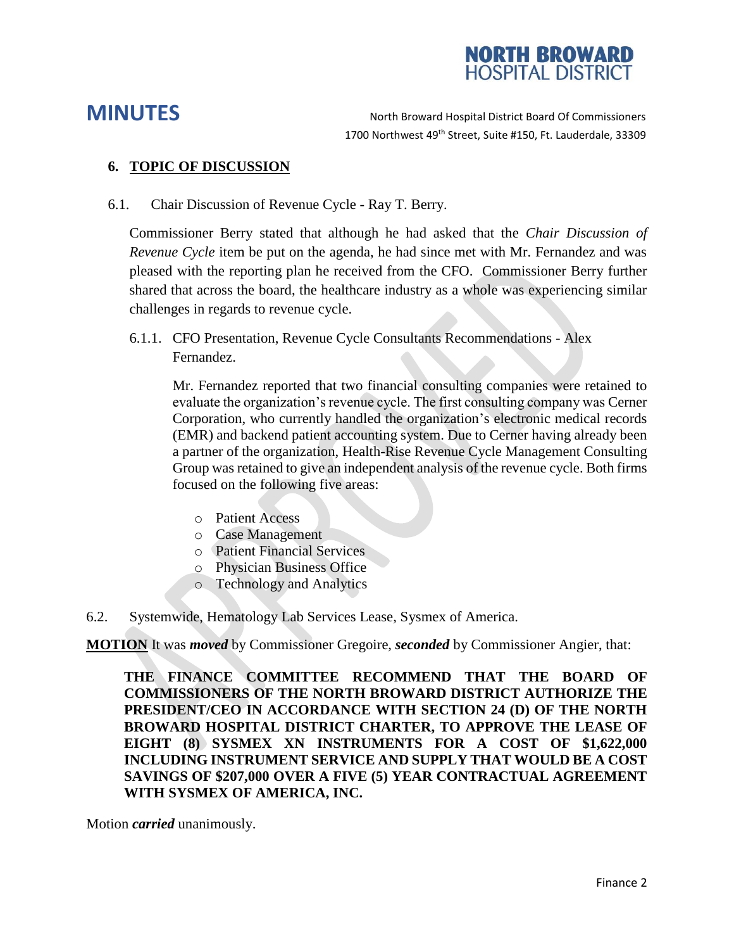

**MINUTES** North Broward Hospital District Board Of Commissioners 1700 Northwest 49<sup>th</sup> Street, Suite #150, Ft. Lauderdale, 33309

#### **6. TOPIC OF DISCUSSION**

6.1. Chair Discussion of Revenue Cycle - Ray T. Berry.

Commissioner Berry stated that although he had asked that the *Chair Discussion of Revenue Cycle* item be put on the agenda, he had since met with Mr. Fernandez and was pleased with the reporting plan he received from the CFO. Commissioner Berry further shared that across the board, the healthcare industry as a whole was experiencing similar challenges in regards to revenue cycle.

6.1.1. CFO Presentation, Revenue Cycle Consultants Recommendations - Alex Fernandez.

Mr. Fernandez reported that two financial consulting companies were retained to evaluate the organization's revenue cycle. The first consulting company was Cerner Corporation, who currently handled the organization's electronic medical records (EMR) and backend patient accounting system. Due to Cerner having already been a partner of the organization, Health-Rise Revenue Cycle Management Consulting Group was retained to give an independent analysis of the revenue cycle. Both firms focused on the following five areas:

- o Patient Access
- o Case Management
- o Patient Financial Services
- o Physician Business Office
- o Technology and Analytics
- 6.2. Systemwide, Hematology Lab Services Lease, Sysmex of America.

**MOTION** It was *moved* by Commissioner Gregoire, *seconded* by Commissioner Angier, that:

**THE FINANCE COMMITTEE RECOMMEND THAT THE BOARD OF COMMISSIONERS OF THE NORTH BROWARD DISTRICT AUTHORIZE THE PRESIDENT/CEO IN ACCORDANCE WITH SECTION 24 (D) OF THE NORTH BROWARD HOSPITAL DISTRICT CHARTER, TO APPROVE THE LEASE OF EIGHT (8) SYSMEX XN INSTRUMENTS FOR A COST OF \$1,622,000 INCLUDING INSTRUMENT SERVICE AND SUPPLY THAT WOULD BE A COST SAVINGS OF \$207,000 OVER A FIVE (5) YEAR CONTRACTUAL AGREEMENT WITH SYSMEX OF AMERICA, INC.**

Motion *carried* unanimously.